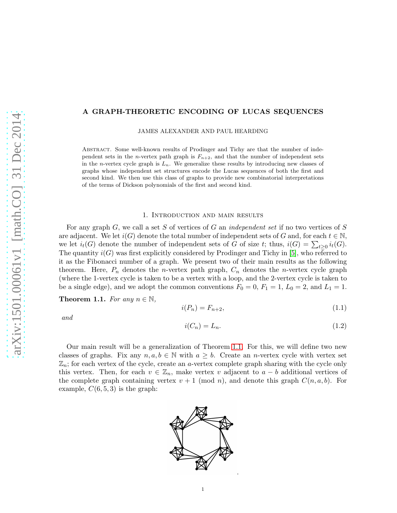# A GRAPH-THEORETIC ENCODING OF LUCAS SEQUENCES

JAMES ALEXANDER AND PAUL HEARDING

Abstract. Some well-known results of Prodinger and Tichy are that the number of independent sets in the *n*-vertex path graph is  $F_{n+2}$ , and that the number of independent sets in the *n*-vertex cycle graph is  $L_n$ . We generalize these results by introducing new classes of graphs whose independent set structures encode the Lucas sequences of both the first and second kind. We then use this class of graphs to provide new combinatorial interpretations of the terms of Dickson polynomials of the first and second kind.

### 1. Introduction and main results

For any graph  $G$ , we call a set S of vertices of G an independent set if no two vertices of S are adjacent. We let  $i(G)$  denote the total number of independent sets of G and, for each  $t \in \mathbb{N}$ , we let  $i_t(G)$  denote the number of independent sets of G of size t; thus,  $i(G) = \sum_{t \geq 0} i_t(G)$ . The quantity  $i(G)$  was first explicitly considered by Prodinger and Tichy in [\[5\]](#page-2-0), who referred to it as the Fibonacci number of a graph. We present two of their main results as the following theorem. Here,  $P_n$  denotes the *n*-vertex path graph,  $C_n$  denotes the *n*-vertex cycle graph (where the 1-vertex cycle is taken to be a vertex with a loop, and the 2-vertex cycle is taken to be a single edge), and we adopt the common conventions  $F_0 = 0$ ,  $F_1 = 1$ ,  $L_0 = 2$ , and  $L_1 = 1$ .

<span id="page-0-0"></span>**Theorem 1.1.** For any  $n \in \mathbb{N}$ ,

$$
i(P_n) = F_{n+2},\tag{1.1}
$$

and

$$
i(C_n) = L_n. \tag{1.2}
$$

Our main result will be a generalization of Theorem [1.1.](#page-0-0) For this, we will define two new classes of graphs. Fix any  $n, a, b \in \mathbb{N}$  with  $a \geq b$ . Create an *n*-vertex cycle with vertex set  $\mathbb{Z}_n$ ; for each vertex of the cycle, create an a-vertex complete graph sharing with the cycle only this vertex. Then, for each  $v \in \mathbb{Z}_n$ , make vertex v adjacent to  $a - b$  additional vertices of the complete graph containing vertex  $v + 1 \pmod{n}$ , and denote this graph  $C(n, a, b)$ . For example,  $C(6, 5, 3)$  is the graph:

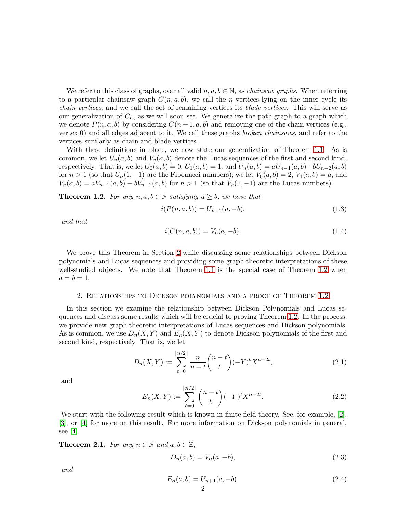We refer to this class of graphs, over all valid  $n, a, b \in \mathbb{N}$ , as *chainsaw graphs*. When referring to a particular chainsaw graph  $C(n, a, b)$ , we call the *n* vertices lying on the inner cycle its chain vertices, and we call the set of remaining vertices its blade vertices. This will serve as our generalization of  $C_n$ , as we will soon see. We generalize the path graph to a graph which we denote  $P(n, a, b)$  by considering  $C(n + 1, a, b)$  and removing one of the chain vertices (e.g., vertex 0) and all edges adjacent to it. We call these graphs broken chainsaws, and refer to the vertices similarly as chain and blade vertices.

With these definitions in place, we now state our generalization of Theorem [1.1.](#page-0-0) As is common, we let  $U_n(a, b)$  and  $V_n(a, b)$  denote the Lucas sequences of the first and second kind, respectively. That is, we let  $U_0(a, b) = 0$ ,  $U_1(a, b) = 1$ , and  $U_n(a, b) = aU_{n-1}(a, b) - bU_{n-2}(a, b)$ for  $n > 1$  (so that  $U_n(1, -1)$ ) are the Fibonacci numbers); we let  $V_0(a, b) = 2$ ,  $V_1(a, b) = a$ , and  $V_n(a, b) = aV_{n-1}(a, b) - bV_{n-2}(a, b)$  for  $n > 1$  (so that  $V_n(1, -1)$ ) are the Lucas numbers).

<span id="page-1-1"></span>**Theorem 1.2.** For any  $n, a, b \in \mathbb{N}$  satisfying  $a \geq b$ , we have that

<span id="page-1-4"></span>
$$
i(P(n, a, b)) = U_{n+2}(a, -b),
$$
\n(1.3)

and that

<span id="page-1-5"></span>
$$
i(C(n, a, b)) = V_n(a, -b).
$$
\n(1.4)

We prove this Theorem in Section [2](#page-1-0) while discussing some relationships between Dickson polynomials and Lucas sequences and providing some graph-theoretic interpretations of these well-studied objects. We note that Theorem [1.1](#page-0-0) is the special case of Theorem [1.2](#page-1-1) when  $a = b = 1.$ 

### <span id="page-1-0"></span>2. Relationships to Dickson polynomials and a proof of Theorem [1.2](#page-1-1)

In this section we examine the relationship between Dickson Polynomials and Lucas sequences and discuss some results which will be crucial to proving Theorem [1.2.](#page-1-1) In the process, we provide new graph-theoretic interpretations of Lucas sequences and Dickson polynomials. As is common, we use  $D_n(X, Y)$  and  $E_n(X, Y)$  to denote Dickson polynomials of the first and second kind, respectively. That is, we let

<span id="page-1-2"></span>
$$
D_n(X,Y) := \sum_{t=0}^{\lfloor n/2 \rfloor} \frac{n}{n-t} \binom{n-t}{t} (-Y)^t X^{n-2t},\tag{2.1}
$$

and

<span id="page-1-3"></span>
$$
E_n(X,Y) := \sum_{t=0}^{\lfloor n/2 \rfloor} \binom{n-t}{t} (-Y)^t X^{n-2t}.
$$
 (2.2)

We start with the following result which is known in finite field theory. See, for example, [\[2\]](#page-2-1), [\[3\]](#page-2-2), or [\[4\]](#page-2-3) for more on this result. For more information on Dickson polynomials in general, see [\[4\]](#page-2-3).

**Theorem 2.1.** For any  $n \in \mathbb{N}$  and  $a, b \in \mathbb{Z}$ ,

$$
D_n(a, b) = V_n(a, -b),
$$
\n(2.3)

and

$$
E_n(a,b) = U_{n+1}(a,-b).
$$
\n(2.4)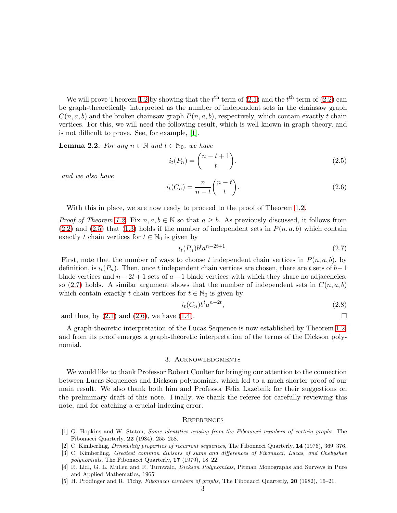We will prove Theorem [1.2](#page-1-1) by showing that the  $t^{\text{th}}$  term of  $(2.1)$  and the  $t^{\text{th}}$  term of  $(2.2)$  can be graph-theoretically interpreted as the number of independent sets in the chainsaw graph  $C(n, a, b)$  and the broken chainsaw graph  $P(n, a, b)$ , respectively, which contain exactly t chain vertices. For this, we will need the following result, which is well known in graph theory, and is not difficult to prove. See, for example, [\[1\]](#page-2-4).

**Lemma 2.2.** For any  $n \in \mathbb{N}$  and  $t \in \mathbb{N}_0$ , we have

<span id="page-2-5"></span>
$$
i_t(P_n) = \binom{n-t+1}{t},\tag{2.5}
$$

and we also have

<span id="page-2-7"></span>
$$
i_t(C_n) = \frac{n}{n-t} \binom{n-t}{t}.
$$
\n(2.6)

With this in place, we are now ready to proceed to the proof of Theorem [1.2.](#page-1-1)

*Proof of Theorem [1.2.](#page-1-1)* Fix  $n, a, b \in \mathbb{N}$  so that  $a \geq b$ . As previously discussed, it follows from  $(2.2)$  and  $(2.5)$  that  $(1.3)$  holds if the number of independent sets in  $P(n, a, b)$  which contain exactly t chain vertices for  $t \in \mathbb{N}_0$  is given by

<span id="page-2-6"></span>
$$
i_t(P_n)b^t a^{n-2t+1}.\tag{2.7}
$$

First, note that the number of ways to choose t independent chain vertices in  $P(n, a, b)$ , by definition, is  $i_t(P_n)$ . Then, once t independent chain vertices are chosen, there are t sets of  $b-1$ blade vertices and  $n - 2t + 1$  sets of  $a - 1$  blade vertices with which they share no adjacencies, so [\(2.7\)](#page-2-6) holds. A similar argument shows that the number of independent sets in  $C(n, a, b)$ which contain exactly t chain vertices for  $t \in \mathbb{N}_0$  is given by

$$
i_t(C_n)b^t a^{n-2t},\tag{2.8}
$$

and thus, by  $(2.1)$  and  $(2.6)$ , we have  $(1.4)$ .

A graph-theoretic interpretation of the Lucas Sequence is now established by Theorem [1.2,](#page-1-1) and from its proof emerges a graph-theoretic interpretation of the terms of the Dickson polynomial.

## 3. Acknowledgments

We would like to thank Professor Robert Coulter for bringing our attention to the connection between Lucas Sequences and Dickson polynomials, which led to a much shorter proof of our main result. We also thank both him and Professor Felix Lazebnik for their suggestions on the preliminary draft of this note. Finally, we thank the referee for carefully reviewing this note, and for catching a crucial indexing error.

#### **REFERENCES**

- <span id="page-2-4"></span>[1] G. Hopkins and W. Staton, Some identities arising from the Fibonacci numbers of certain graphs, The Fibonacci Quarterly, 22 (1984), 255–258.
- <span id="page-2-2"></span><span id="page-2-1"></span>[2] C. Kimberling, *Divisibility properties of recurrent sequences*, The Fibonacci Quarterly, 14 (1976), 369–376.
- [3] C. Kimberling, Greatest common divisors of sums and differences of Fibonacci, Lucas, and Chebyshev polynomials, The Fibonacci Quarterly, 17 (1979), 18–22.
- <span id="page-2-3"></span>[4] R. Lidl, G. L. Mullen and R. Turnwald, *Dickson Polynomials*, Pitman Monographs and Surveys in Pure and Applied Mathematics, 1965
- <span id="page-2-0"></span>[5] H. Prodinger and R. Tichy, Fibonacci numbers of graphs, The Fibonacci Quarterly, 20 (1982), 16–21.